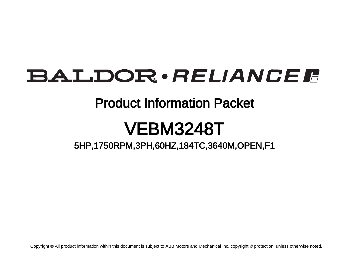# **BALDOR** · RELIANCE F

## Product Information Packet

# VEBM3248T

5HP,1750RPM,3PH,60HZ,184TC,3640M,OPEN,F1

Copyright © All product information within this document is subject to ABB Motors and Mechanical Inc. copyright © protection, unless otherwise noted.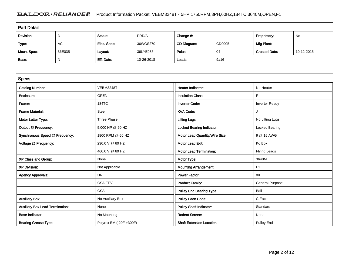### BALDOR · RELIANCE F Product Information Packet: VEBM3248T - 5HP,1750RPM,3PH,60HZ,184TC,3640M,OPEN,F1

| <b>Part Detail</b> |        |             |            |             |        |                      |            |  |
|--------------------|--------|-------------|------------|-------------|--------|----------------------|------------|--|
| Revision:          | D      | Status:     | PRD/A      | Change #:   |        | Proprietary:         | No         |  |
| Type:              | AC     | Elec. Spec: | 36WGS270   | CD Diagram: | CD0005 | Mfg Plant:           |            |  |
| Mech. Spec:        | 36E035 | Layout:     | 36LYE035   | Poles:      | 04     | <b>Created Date:</b> | 10-12-2015 |  |
| Base:              | N      | Eff. Date:  | 10-26-2018 | Leads:      | 9#16   |                      |            |  |

| <b>Specs</b>                           |                         |                                  |                        |
|----------------------------------------|-------------------------|----------------------------------|------------------------|
| <b>Catalog Number:</b>                 | <b>VEBM3248T</b>        | <b>Heater Indicator:</b>         | No Heater              |
| Enclosure:                             | <b>OPEN</b>             | <b>Insulation Class:</b>         | F                      |
| Frame:                                 | 184TC                   | <b>Inverter Code:</b>            | <b>Inverter Ready</b>  |
| <b>Frame Material:</b>                 | Steel                   | <b>KVA Code:</b>                 |                        |
| Motor Letter Type:                     | Three Phase             | <b>Lifting Lugs:</b>             | No Lifting Lugs        |
| Output @ Frequency:                    | 5.000 HP @ 60 HZ        | Locked Bearing Indicator:        | Locked Bearing         |
| Synchronous Speed @ Frequency:         | 1800 RPM @ 60 HZ        | Motor Lead Quantity/Wire Size:   | 9 @ 16 AWG             |
| Voltage @ Frequency:                   | 230.0 V @ 60 HZ         | <b>Motor Lead Exit:</b>          | Ko Box                 |
|                                        | 460.0 V @ 60 HZ         | <b>Motor Lead Termination:</b>   | Flying Leads           |
| XP Class and Group:                    | None                    | Motor Type:                      | 3640M                  |
| <b>XP Division:</b>                    | Not Applicable          | <b>Mounting Arrangement:</b>     | F <sub>1</sub>         |
| <b>Agency Approvals:</b>               | <b>UR</b>               | <b>Power Factor:</b>             | 80                     |
|                                        | <b>CSA EEV</b>          | <b>Product Family:</b>           | <b>General Purpose</b> |
|                                        | <b>CSA</b>              | <b>Pulley End Bearing Type:</b>  | Ball                   |
| <b>Auxillary Box:</b>                  | No Auxillary Box        | <b>Pulley Face Code:</b>         | C-Face                 |
| <b>Auxillary Box Lead Termination:</b> | None                    | <b>Pulley Shaft Indicator:</b>   | Standard               |
| <b>Base Indicator:</b>                 | No Mounting             | <b>Rodent Screen:</b>            | None                   |
| <b>Bearing Grease Type:</b>            | Polyrex EM (-20F +300F) | <b>Shaft Extension Location:</b> | Pulley End             |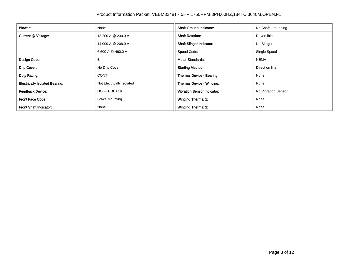| <b>Blower:</b>                        | None                      | <b>Shaft Ground Indicator:</b>     | No Shaft Grounding  |
|---------------------------------------|---------------------------|------------------------------------|---------------------|
| Current @ Voltage:                    | 13.200 A @ 230.0 V        | <b>Shaft Rotation:</b>             | Reversible          |
|                                       | 14.000 A @ 208.0 V        | <b>Shaft Slinger Indicator:</b>    | No Slinger          |
|                                       | 6.600 A @ 460.0 V         | <b>Speed Code:</b>                 | Single Speed        |
| Design Code:                          | B                         | <b>Motor Standards:</b>            | NEMA                |
| Drip Cover:                           | No Drip Cover             | <b>Starting Method:</b>            | Direct on line      |
| Duty Rating:                          | <b>CONT</b>               | Thermal Device - Bearing:          | None                |
| <b>Electrically Isolated Bearing:</b> | Not Electrically Isolated | <b>Thermal Device - Winding:</b>   | None                |
| <b>Feedback Device:</b>               | <b>NO FEEDBACK</b>        | <b>Vibration Sensor Indicator:</b> | No Vibration Sensor |
| <b>Front Face Code:</b>               | <b>Brake Mounting</b>     | <b>Winding Thermal 1:</b>          | None                |
| Front Shaft Indicator:                | None                      | <b>Winding Thermal 2:</b>          | None                |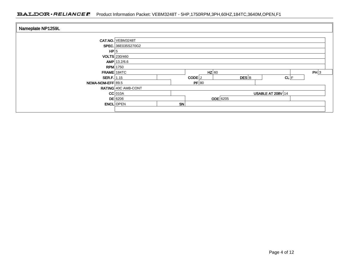### BALDOR · RELIANCE F Product Information Packet: VEBM3248T - 5HP,1750RPM,3PH,60HZ,184TC,3640M,OPEN,F1

| Nameplate NP1259L                   |                                 |    |                              |                    |                          |      |  |  |
|-------------------------------------|---------------------------------|----|------------------------------|--------------------|--------------------------|------|--|--|
|                                     | <b>CAT.NO. VEBM3248T</b>        |    |                              |                    |                          |      |  |  |
| HP 5                                | <b>SPEC.</b> 36E035S270G2       |    |                              |                    |                          |      |  |  |
|                                     | VOLTS 230/460<br>AMP   13.2/6.6 |    |                              |                    |                          |      |  |  |
|                                     | <b>RPM</b> 1750                 |    |                              |                    |                          |      |  |  |
| $FRAME$ 184TC<br><b>SER.F.</b> 1.15 |                                 |    | $HZ$ 60<br>CODE <sup>J</sup> | $DES$ <sub>B</sub> | CL F                     | PH 3 |  |  |
| NEMA-NOM-EFF 89.5                   | RATING 40C AMB-CONT             |    | PF 80                        |                    |                          |      |  |  |
|                                     | $CC$ 010A                       |    |                              |                    | <b>USABLE AT 208V 14</b> |      |  |  |
|                                     | $DE$ 6206<br><b>ENCL</b> OPEN   | SN |                              | <b>ODE</b> 6205    |                          |      |  |  |
|                                     |                                 |    |                              |                    |                          |      |  |  |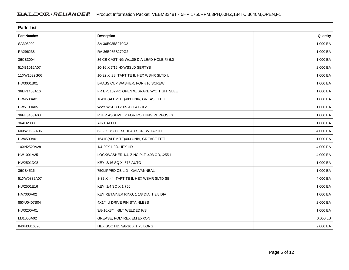| <b>Parts List</b>  |                                          |          |
|--------------------|------------------------------------------|----------|
| <b>Part Number</b> | Description                              | Quantity |
| SA308902           | SA 36E035S270G2                          | 1.000 EA |
| RA296238           | RA 36E035S270G2                          | 1.000 EA |
| 36CB3004           | 36 CB CASTING W/1.09 DIA LEAD HOLE @ 6:0 | 1.000 EA |
| 51XB1016A07        | 10-16 X 7/16 HXWSSLD SERTYB              | 2.000 EA |
| 11XW1032G06        | 10-32 X .38, TAPTITE II, HEX WSHR SLTD U | 1.000 EA |
| HW3001B01          | BRASS CUP WASHER, FOR #10 SCREW          | 1.000 EA |
| 36EP1403A16        | FR EP, 182-4C OPEN W/BRAKE W/O TIGHTSLEE | 1.000 EA |
| HW4500A01          | 1641B(ALEMITE)400 UNIV, GREASE FITT      | 1.000 EA |
| HW5100A05          | WVY WSHR F/205 & 304 BRGS                | 1.000 EA |
| 36PE3403A03        | PUEP ASSEMBLY FOR ROUTING PURPOSES       | 1.000 EA |
| 36AD2000           | AIR BAFFLE                               | 1.000 EA |
| 60XW0632A06        | 6-32 X 3/8 TORX HEAD SCREW TAPTITE II    | 4.000 EA |
| HW4500A01          | 1641B(ALEMITE)400 UNIV, GREASE FITT      | 1.000 EA |
| 10XN2520A28        | 1/4-20X 1 3/4 HEX HD                     | 4.000 EA |
| HW1001A25          | LOCKWASHER 1/4, ZINC PLT .493 OD, .255 I | 4.000 EA |
| HW2501D08          | KEY, 3/16 SQ X .875 AUTO                 | 1.000 EA |
| 36CB4516           | 750LIPPED CB LID - GALVANNEAL            | 1.000 EA |
| 51XW0832A07        | 8-32 X .44, TAPTITE II, HEX WSHR SLTD SE | 4.000 EA |
| HW2501E16          | KEY, 1/4 SQ X 1.750                      | 1.000 EA |
| HA7000A02          | KEY RETAINER RING, 1 1/8 DIA, 1 3/8 DIA  | 1.000 EA |
| 85XU0407S04        | 4X1/4 U DRIVE PIN STAINLESS              | 2.000 EA |
| HW3200A01          | 3/8-16X3/4 I-BLT WELDED F/S              | 1.000 EA |
| MJ1000A02          | GREASE, POLYREX EM EXXON                 | 0.050 LB |
| 84XN3816J28        | HEX SOC HD, 3/8-16 X 1.75 LONG           | 2.000 EA |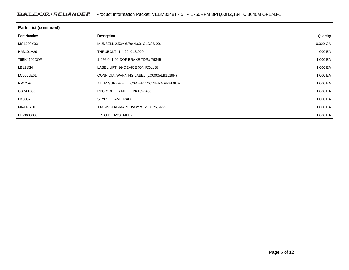| <b>Parts List (continued)</b> |                                          |          |
|-------------------------------|------------------------------------------|----------|
| <b>Part Number</b>            | Description                              | Quantity |
| MG1000Y03                     | MUNSELL 2.53Y 6.70/ 4.60, GLOSS 20,      | 0.022 GA |
| HA3101A29                     | THRUBOLT- 1/4-20 X 13.000                | 4.000 EA |
| 76BK4100DQF                   | 1-056-041-00-DQF BRAKE TDR# 79345        | 1.000 EA |
| LB1115N                       | LABEL, LIFTING DEVICE (ON ROLLS)         | 1.000 EA |
| LC0005E01                     | CONN.DIA./WARNING LABEL (LC0005/LB1119N) | 1.000 EA |
| <b>NP1259L</b>                | ALUM SUPER-E UL CSA-EEV CC NEMA PREMIUM  | 1.000 EA |
| G0PA1000                      | PKG GRP, PRINT<br>PK1026A06              | 1.000 EA |
| PK3082                        | STYROFOAM CRADLE                         | 1.000 EA |
| MN416A01                      | TAG-INSTAL-MAINT no wire (2100/bx) 4/22  | 1.000 EA |
| PE-0000003                    | ZRTG PE ASSEMBLY                         | 1.000 EA |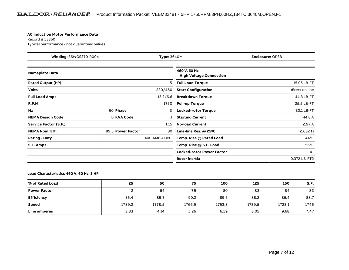#### **AC Induction Motor Performance Data**

Record # 53360Typical performance - not guaranteed values

| <b>Winding: 36WGS270-R004</b><br><b>Type: 3640M</b> |                   |              | <b>Enclosure: OPSB</b>                          |                |
|-----------------------------------------------------|-------------------|--------------|-------------------------------------------------|----------------|
| <b>Nameplate Data</b>                               |                   |              | 460 V, 60 Hz:<br><b>High Voltage Connection</b> |                |
| <b>Rated Output (HP)</b>                            |                   | 5            | <b>Full Load Torque</b>                         | 15.05 LB-FT    |
| <b>Volts</b>                                        |                   | 230/460      | <b>Start Configuration</b>                      | direct on line |
| <b>Full Load Amps</b>                               |                   | 13.2/6.6     | <b>Breakdown Torque</b>                         | 44.8 LB-FT     |
| <b>R.P.M.</b>                                       |                   | 1750         | <b>Pull-up Torque</b>                           | 25.5 LB-FT     |
| Hz                                                  | 60 Phase          | 3            | <b>Locked-rotor Torque</b>                      | 30.1 LB-FT     |
| <b>NEMA Design Code</b>                             | <b>B KVA Code</b> |              | <b>Starting Current</b>                         | 44.8 A         |
| Service Factor (S.F.)                               |                   | 1.15         | <b>No-load Current</b>                          | 2.97 A         |
| <b>NEMA Nom. Eff.</b>                               | 89.5 Power Factor | 80           | Line-line Res. @ 25°C                           | 2.632 $\Omega$ |
| <b>Rating - Duty</b>                                |                   | 40C AMB-CONT | Temp. Rise @ Rated Load                         | $44^{\circ}$ C |
| S.F. Amps                                           |                   |              | Temp. Rise @ S.F. Load                          | $56^{\circ}$ C |
|                                                     |                   |              | <b>Locked-rotor Power Factor</b>                | 41             |
|                                                     |                   |              | <b>Rotor inertia</b>                            | 0.372 LB-FT2   |

**Load Characteristics 460 V, 60 Hz, 5 HP**

| % of Rated Load     | 25     | 50     | 75     | 100    | 125    | 150    | S.F. |
|---------------------|--------|--------|--------|--------|--------|--------|------|
| <b>Power Factor</b> | 42     | 64     | 75     | 80     | 83     | 84     | 82   |
| <b>Efficiency</b>   | 85.4   | 89.7   | 90.2   | 89.5   | 88.2   | 86.4   | 88.7 |
| <b>Speed</b>        | 1789.2 | 1778.5 | 1766.9 | 1753.8 | 1739.5 | 1722.1 | 1745 |
| <b>Line amperes</b> | 3.33   | 4.14   | 5.26   | 6.59   | 8.05   | 9.68   | 7.47 |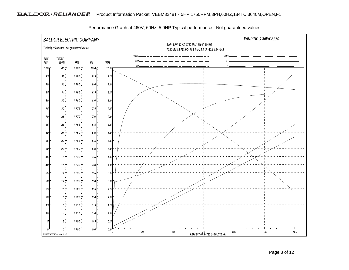

Performance Graph at 460V, 60Hz, 5.0HP Typical performance - Not guaranteed values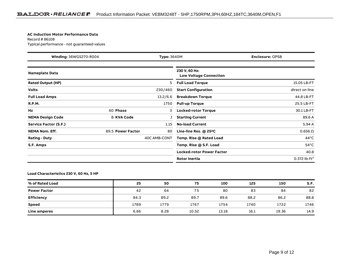#### **AC Induction Motor Performance Data**

Record # 86108Typical performance - not guaranteed values

| <b>Winding: 36WGS270-R004</b><br><b>Type: 3640M</b> |                   |              | <b>Enclosure: OPSB</b>                         |                   |
|-----------------------------------------------------|-------------------|--------------|------------------------------------------------|-------------------|
| <b>Nameplate Data</b>                               |                   |              | 230 V, 60 Hz:<br><b>Low Voltage Connection</b> |                   |
| <b>Rated Output (HP)</b>                            |                   | 5            | <b>Full Load Torque</b>                        | 15.05 LB-FT       |
| <b>Volts</b>                                        |                   | 230/460      | <b>Start Configuration</b>                     | direct on line    |
| <b>Full Load Amps</b>                               |                   | 13.2/6.6     | <b>Breakdown Torque</b>                        | 44.8 LB-FT        |
| <b>R.P.M.</b>                                       |                   | 1750         | <b>Pull-up Torque</b>                          | 25.5 LB-FT        |
| Hz                                                  | 60 Phase          | 3            | <b>Locked-rotor Torque</b>                     | 30.1 LB-FT        |
| <b>NEMA Design Code</b>                             | <b>B KVA Code</b> |              | <b>Starting Current</b>                        | 89.6 A            |
| Service Factor (S.F.)                               |                   | 1.15         | <b>No-load Current</b>                         | 5.94 A            |
| <b>NEMA Nom. Eff.</b>                               | 89.5 Power Factor | 80           | Line-line Res. $@$ 25 <sup>o</sup> C           | $0.656\ \Omega$   |
| <b>Rating - Duty</b>                                |                   | 40C AMB-CONT | Temp. Rise @ Rated Load                        | $44^{\circ}$ C    |
| S.F. Amps                                           |                   |              | Temp. Rise @ S.F. Load                         | $54^{\circ}$ C    |
|                                                     |                   |              | <b>Locked-rotor Power Factor</b>               | 40.8              |
|                                                     |                   |              | <b>Rotor inertia</b>                           | 0.372 $lb - ft^2$ |

**Load Characteristics 230 V, 60 Hz, 5 HP**

| % of Rated Load     | 25   | 50   | 75    | 100   | 125  | 150   | S.F. |
|---------------------|------|------|-------|-------|------|-------|------|
| <b>Power Factor</b> | 42   | 64   | 75    | 80    | 83   | 84    | 82   |
| <b>Efficiency</b>   | 84.3 | 89.2 | 89.7  | 89.6  | 88.2 | 86.2  | 88.8 |
| <b>Speed</b>        | 1789 | 1779 | 1767  | 1754  | 1740 | 1722  | 1746 |
| Line amperes        | 6.66 | 8.28 | 10.52 | 13.18 | 16.1 | 19.36 | 14.9 |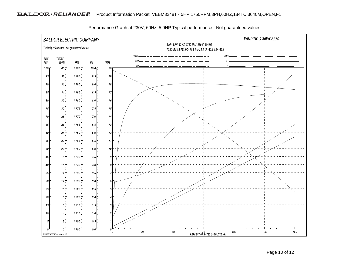

Performance Graph at 230V, 60Hz, 5.0HP Typical performance - Not guaranteed values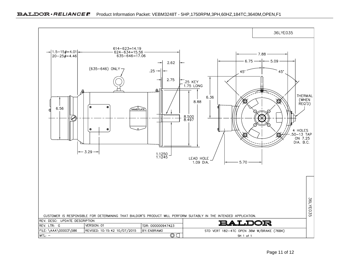